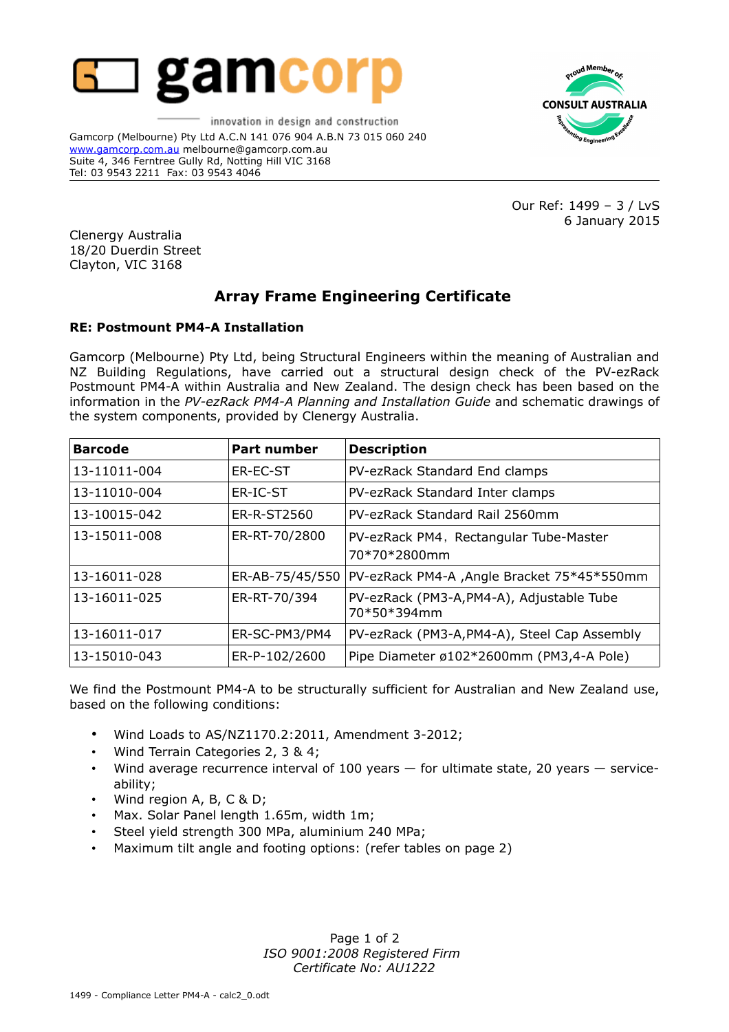

innovation in design and construction Gamcorp (Melbourne) Pty Ltd A.C.N 141 076 904 A.B.N 73 015 060 240 [www.gamcorp.com.au](http://www.gamcorp.com.au/) melbourne@gamcorp.com.au Suite 4, 346 Ferntree Gully Rd, Notting Hill VIC 3168 Tel: 03 9543 2211 Fax: 03 9543 4046



Our Ref: 1499 – 3 / LvS 6 January 2015

Clenergy Australia 18/20 Duerdin Street Clayton, VIC 3168

## **Array Frame Engineering Certificate**

## **RE: Postmount PM4-A Installation**

Gamcorp (Melbourne) Pty Ltd, being Structural Engineers within the meaning of Australian and NZ Building Regulations, have carried out a structural design check of the PV-ezRack Postmount PM4-A within Australia and New Zealand. The design check has been based on the information in the *PV-ezRack PM4-A Planning and Installation Guide* and schematic drawings of the system components, provided by Clenergy Australia.

| <b>Barcode</b> | <b>Part number</b> | <b>Description</b>                                            |  |  |
|----------------|--------------------|---------------------------------------------------------------|--|--|
| 13-11011-004   | <b>ER-EC-ST</b>    | PV-ezRack Standard End clamps                                 |  |  |
| 13-11010-004   | ER-IC-ST           | PV-ezRack Standard Inter clamps                               |  |  |
| 13-10015-042   | ER-R-ST2560        | PV-ezRack Standard Rail 2560mm                                |  |  |
| 13-15011-008   | ER-RT-70/2800      | PV-ezRack PM4, Rectangular Tube-Master<br>70*70*2800mm        |  |  |
| 13-16011-028   |                    | ER-AB-75/45/550   PV-ezRack PM4-A , Angle Bracket 75*45*550mm |  |  |
| 13-16011-025   | ER-RT-70/394       | PV-ezRack (PM3-A, PM4-A), Adjustable Tube<br>70*50*394mm      |  |  |
| 13-16011-017   | ER-SC-PM3/PM4      | PV-ezRack (PM3-A, PM4-A), Steel Cap Assembly                  |  |  |
| 13-15010-043   | ER-P-102/2600      | Pipe Diameter ø102*2600mm (PM3,4-A Pole)                      |  |  |

We find the Postmount PM4-A to be structurally sufficient for Australian and New Zealand use, based on the following conditions:

- Wind Loads to AS/NZ1170.2:2011, Amendment 3-2012;
- Wind Terrain Categories 2, 3 & 4;
- Wind average recurrence interval of 100 years for ultimate state, 20 years serviceability;
- Wind region A, B, C & D;
- Max. Solar Panel length 1.65m, width 1m;
- Steel yield strength 300 MPa, aluminium 240 MPa;
- Maximum tilt angle and footing options: (refer tables on page 2)

Page 1 of 2 *ISO 9001:2008 Registered Firm Certificate No: AU1222*